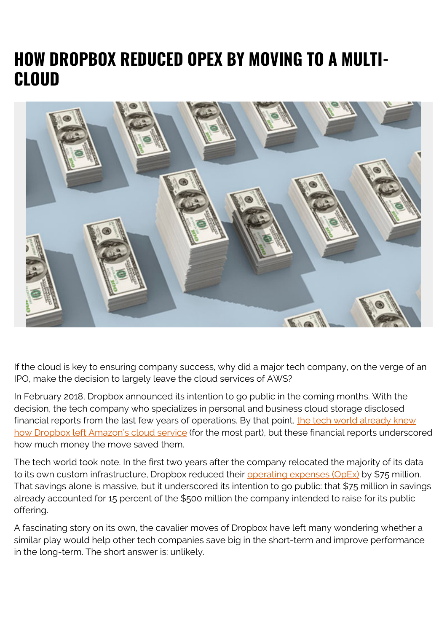# **HOW DROPBOX REDUCED OPEX BY MOVING TO A MULTI-CLOUD**



If the cloud is key to ensuring company success, why did a major tech company, on the verge of an IPO, make the decision to largely leave the cloud services of AWS?

In February 2018, Dropbox announced its intention to go public in the coming months. With the decision, the tech company who specializes in personal and business cloud storage disclosed financial reports from the last few years of operations. By that point, [the tech world already knew](https://www.wired.com/2016/03/epic-story-dropboxs-exodus-amazon-cloud-empire/) [how Dropbox left Amazon's cloud service](https://www.wired.com/2016/03/epic-story-dropboxs-exodus-amazon-cloud-empire/) (for the most part), but these financial reports underscored how much money the move saved them.

The tech world took note. In the first two years after the company relocated the majority of its data to its own custom infrastructure, Dropbox reduced their [operating expenses \(OpEx\)](https://blogs.bmc.com/blogs/capex-vs-opex/) by \$75 million. That savings alone is massive, but it underscored its intention to go public: that \$75 million in savings already accounted for 15 percent of the \$500 million the company intended to raise for its public offering.

A fascinating story on its own, the cavalier moves of Dropbox have left many wondering whether a similar play would help other tech companies save big in the short-term and improve performance in the long-term. The short answer is: unlikely.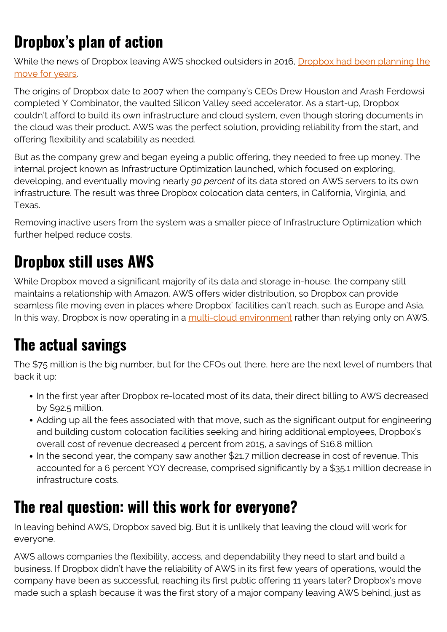# **Dropbox's plan of action**

While the news of Dropbox leaving AWS shocked outsiders in 2016, [Dropbox had been planning the](https://www.datacenterknowledge.com/cloud/here-s-how-much-money-dropbox-saved-moving-out-cloud) [move for years.](https://www.datacenterknowledge.com/cloud/here-s-how-much-money-dropbox-saved-moving-out-cloud)

The origins of Dropbox date to 2007 when the company's CEOs Drew Houston and Arash Ferdowsi completed Y Combinator, the vaulted Silicon Valley seed accelerator. As a start-up, Dropbox couldn't afford to build its own infrastructure and cloud system, even though storing documents in the cloud was their product. AWS was the perfect solution, providing reliability from the start, and offering flexibility and scalability as needed.

But as the company grew and began eyeing a public offering, they needed to free up money. The internal project known as Infrastructure Optimization launched, which focused on exploring, developing, and eventually moving nearly *90 percent* of its data stored on AWS servers to its own infrastructure. The result was three Dropbox colocation data centers, in California, Virginia, and Texas.

Removing inactive users from the system was a smaller piece of Infrastructure Optimization which further helped reduce costs.

# **Dropbox still uses AWS**

While Dropbox moved a significant majority of its data and storage in-house, the company still maintains a relationship with Amazon. AWS offers wider distribution, so Dropbox can provide seamless file moving even in places where Dropbox' facilities can't reach, such as Europe and Asia. In this way, Dropbox is now operating in a [multi-cloud environment](https://blogs.bmc.com/it-solutions/multi-cloud-management.html) rather than relying only on AWS.

#### **The actual savings**

The \$75 million is the big number, but for the CFOs out there, here are the next level of numbers that back it up:

- In the first year after Dropbox re-located most of its data, their direct billing to AWS decreased by \$92.5 million.
- Adding up all the fees associated with that move, such as the significant output for engineering and building custom colocation facilities seeking and hiring additional employees, Dropbox's overall cost of revenue decreased 4 percent from 2015, a savings of \$16.8 million.
- In the second year, the company saw another \$21.7 million decrease in cost of revenue. This accounted for a 6 percent YOY decrease, comprised significantly by a \$35.1 million decrease in infrastructure costs.

#### **The real question: will this work for everyone?**

In leaving behind AWS, Dropbox saved big. But it is unlikely that leaving the cloud will work for everyone.

AWS allows companies the flexibility, access, and dependability they need to start and build a business. If Dropbox didn't have the reliability of AWS in its first few years of operations, would the company have been as successful, reaching its first public offering 11 years later? Dropbox's move made such a splash because it was the first story of a major company leaving AWS behind, just as